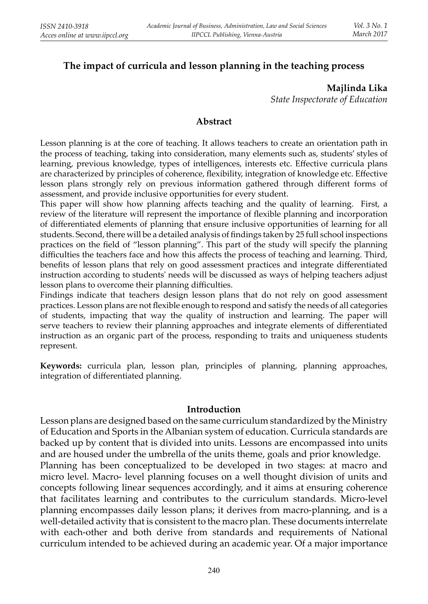# **The impact of curricula and lesson planning in the teaching process**

**Majlinda Lika**  *State Inspectorate of Education*

#### **Abstract**

Lesson planning is at the core of teaching. It allows teachers to create an orientation path in the process of teaching, taking into consideration, many elements such as, students' styles of learning, previous knowledge, types of intelligences, interests etc. Effective curricula plans are characterized by principles of coherence, flexibility, integration of knowledge etc. Effective lesson plans strongly rely on previous information gathered through different forms of assessment, and provide inclusive opportunities for every student.

This paper will show how planning affects teaching and the quality of learning. First, a review of the literature will represent the importance of flexible planning and incorporation of diff erentiated elements of planning that ensure inclusive opportunities of learning for all students. Second, there will be a detailed analysis of findings taken by 25 full school inspections practices on the field of "lesson planning". This part of the study will specify the planning difficulties the teachers face and how this affects the process of teaching and learning. Third, benefits of lesson plans that rely on good assessment practices and integrate differentiated instruction according to students' needs will be discussed as ways of helping teachers adjust lesson plans to overcome their planning difficulties.

Findings indicate that teachers design lesson plans that do not rely on good assessment practices. Lesson plans are not flexible enough to respond and satisfy the needs of all categories of students, impacting that way the quality of instruction and learning. The paper will serve teachers to review their planning approaches and integrate elements of differentiated instruction as an organic part of the process, responding to traits and uniqueness students represent.

**Keywords:** curricula plan, lesson plan, principles of planning, planning approaches, integration of differentiated planning.

#### **Introduction**

 Lesson plans are designed based on the same curriculum standardized by the Ministry of Education and Sports in the Albanian system of education. Curricula standards are backed up by content that is divided into units. Lessons are encompassed into units and are housed under the umbrella of the units theme, goals and prior knowledge. Planning has been conceptualized to be developed in two stages: at macro and micro level. Macro- level planning focuses on a well thought division of units and concepts following linear sequences accordingly, and it aims at ensuring coherence that facilitates learning and contributes to the curriculum standards. Micro-level planning encompasses daily lesson plans; it derives from macro-planning, and is a well-detailed activity that is consistent to the macro plan. These documents interrelate with each-other and both derive from standards and requirements of National curriculum intended to be achieved during an academic year. Of a major importance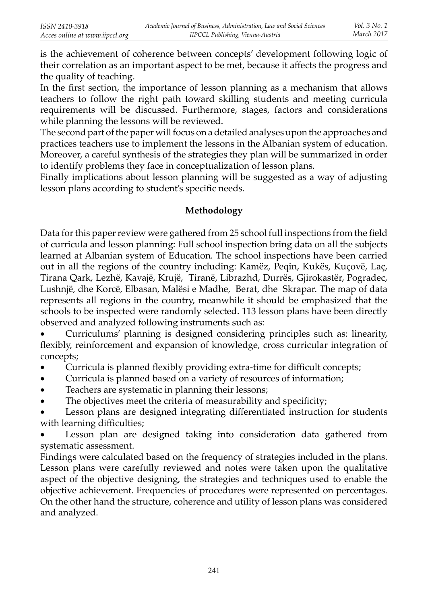is the achievement of coherence between concepts' development following logic of their correlation as an important aspect to be met, because it affects the progress and the quality of teaching.

In the first section, the importance of lesson planning as a mechanism that allows teachers to follow the right path toward skilling students and meeting curricula requirements will be discussed. Furthermore, stages, factors and considerations while planning the lessons will be reviewed.

The second part of the paper will focus on a detailed analyses upon the approaches and practices teachers use to implement the lessons in the Albanian system of education. Moreover, a careful synthesis of the strategies they plan will be summarized in order to identify problems they face in conceptualization of lesson plans.

Finally implications about lesson planning will be suggested as a way of adjusting lesson plans according to student's specific needs.

# **Methodology**

Data for this paper review were gathered from 25 school full inspections from the field of curricula and lesson planning: Full school inspection bring data on all the subjects learned at Albanian system of Education. The school inspections have been carried out in all the regions of the country including: Kamëz, Peqin, Kukës, Kuçovë, Laç, Tirana Qark, Lezhë, Kavajë, Krujë, Tiranë, Librazhd, Durrës, Gjirokastër, Pogradec, Lushnjë, dhe Korcë, Elbasan, Malësi e Madhe, Berat, dhe Skrapar. The map of data represents all regions in the country, meanwhile it should be emphasized that the schools to be inspected were randomly selected. 113 lesson plans have been directly observed and analyzed following instruments such as:

• Curriculums' planning is designed considering principles such as: linearity, flexibly, reinforcement and expansion of knowledge, cross curricular integration of concepts;

- Curricula is planned flexibly providing extra-time for difficult concepts;
- Curricula is planned based on a variety of resources of information;
- Teachers are systematic in planning their lessons;
- The objectives meet the criteria of measurability and specificity;

Lesson plans are designed integrating differentiated instruction for students with learning difficulties;

• Lesson plan are designed taking into consideration data gathered from systematic assessment.

Findings were calculated based on the frequency of strategies included in the plans. Lesson plans were carefully reviewed and notes were taken upon the qualitative aspect of the objective designing, the strategies and techniques used to enable the objective achievement. Frequencies of procedures were represented on percentages. On the other hand the structure, coherence and utility of lesson plans was considered and analyzed.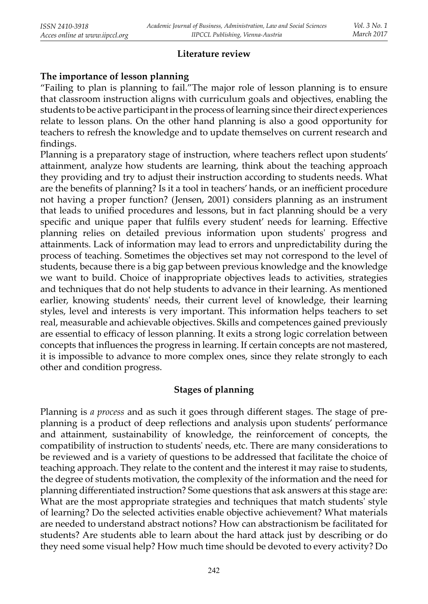#### **Literature review**

### **The importance of lesson planning**

"Failing to plan is planning to fail."The major role of lesson planning is to ensure that classroom instruction aligns with curriculum goals and objectives, enabling the students to be active participant in the process of learning since their direct experiences relate to lesson plans. On the other hand planning is also a good opportunity for teachers to refresh the knowledge and to update themselves on current research and findings.

Planning is a preparatory stage of instruction, where teachers reflect upon students' attainment, analyze how students are learning, think about the teaching approach they providing and try to adjust their instruction according to students needs. What are the benefits of planning? Is it a tool in teachers' hands, or an inefficient procedure not having a proper function? (Jensen, 2001) considers planning as an instrument that leads to unified procedures and lessons, but in fact planning should be a very specific and unique paper that fulfils every student' needs for learning. Effective planning relies on detailed previous information upon students' progress and attainments. Lack of information may lead to errors and unpredictability during the process of teaching. Sometimes the objectives set may not correspond to the level of students, because there is a big gap between previous knowledge and the knowledge we want to build. Choice of inappropriate objectives leads to activities, strategies and techniques that do not help students to advance in their learning. As mentioned earlier, knowing students' needs, their current level of knowledge, their learning styles, level and interests is very important. This information helps teachers to set real, measurable and achievable objectives. Skills and competences gained previously are essential to efficacy of lesson planning. It exits a strong logic correlation between concepts that influences the progress in learning. If certain concepts are not mastered, it is impossible to advance to more complex ones, since they relate strongly to each other and condition progress.

## **Stages of planning**

Planning is *a process* and as such it goes through different stages. The stage of preplanning is a product of deep reflections and analysis upon students' performance and attainment, sustainability of knowledge, the reinforcement of concepts, the compatibility of instruction to students' needs, etc. There are many considerations to be reviewed and is a variety of questions to be addressed that facilitate the choice of teaching approach. They relate to the content and the interest it may raise to students, the degree of students motivation, the complexity of the information and the need for planning differentiated instruction? Some questions that ask answers at this stage are: What are the most appropriate strategies and techniques that match students' style of learning? Do the selected activities enable objective achievement? What materials are needed to understand abstract notions? How can abstractionism be facilitated for students? Are students able to learn about the hard attack just by describing or do they need some visual help? How much time should be devoted to every activity? Do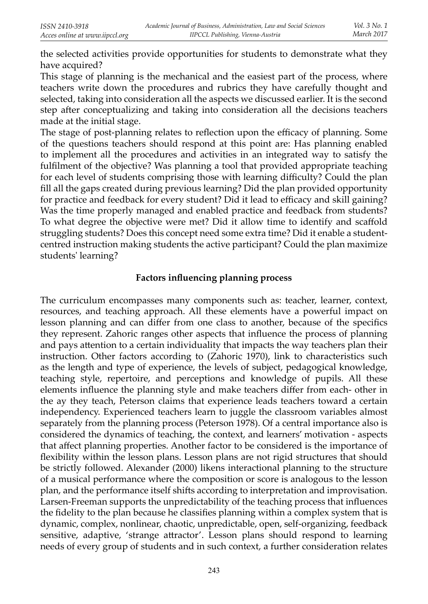the selected activities provide opportunities for students to demonstrate what they have acquired?

This stage of planning is the mechanical and the easiest part of the process, where teachers write down the procedures and rubrics they have carefully thought and selected, taking into consideration all the aspects we discussed earlier. It is the second step after conceptualizing and taking into consideration all the decisions teachers made at the initial stage.

The stage of post-planning relates to reflection upon the efficacy of planning. Some of the questions teachers should respond at this point are: Has planning enabled to implement all the procedures and activities in an integrated way to satisfy the fulfilment of the objective? Was planning a tool that provided appropriate teaching for each level of students comprising those with learning difficulty? Could the plan fill all the gaps created during previous learning? Did the plan provided opportunity for practice and feedback for every student? Did it lead to efficacy and skill gaining? Was the time properly managed and enabled practice and feedback from students? To what degree the objective were met? Did it allow time to identify and scaffold struggling students? Does this concept need some extra time? Did it enable a studentcentred instruction making students the active participant? Could the plan maximize students' learning?

### **Factors infl uencing planning process**

The curriculum encompasses many components such as: teacher, learner, context, resources, and teaching approach. All these elements have a powerful impact on lesson planning and can differ from one class to another, because of the specifics they represent. Zahoric ranges other aspects that influence the process of planning and pays attention to a certain individuality that impacts the way teachers plan their instruction. Other factors according to (Zahoric 1970), link to characteristics such as the length and type of experience, the levels of subject, pedagogical knowledge, teaching style, repertoire, and perceptions and knowledge of pupils. All these elements influence the planning style and make teachers differ from each- other in the ay they teach, Peterson claims that experience leads teachers toward a certain independency. Experienced teachers learn to juggle the classroom variables almost separately from the planning process (Peterson 1978). Of a central importance also is considered the dynamics of teaching, the context, and learners' motivation - aspects that affect planning properties. Another factor to be considered is the importance of flexibility within the lesson plans. Lesson plans are not rigid structures that should be strictly followed. Alexander (2000) likens interactional planning to the structure of a musical performance where the composition or score is analogous to the lesson plan, and the performance itself shifts according to interpretation and improvisation. Larsen-Freeman supports the unpredictability of the teaching process that influences the fidelity to the plan because he classifies planning within a complex system that is dynamic, complex, nonlinear, chaotic, unpredictable, open, self-organizing, feedback sensitive, adaptive, 'strange attractor'. Lesson plans should respond to learning needs of every group of students and in such context, a further consideration relates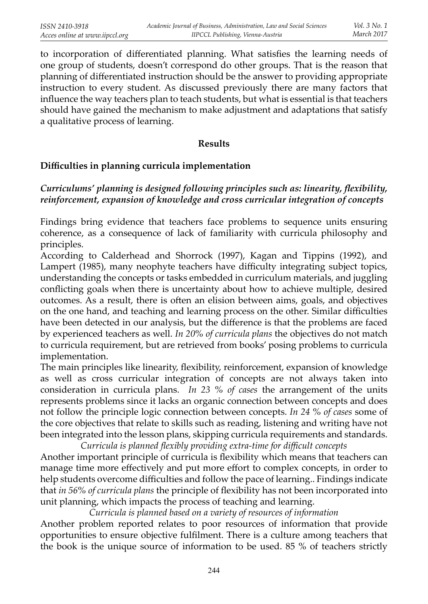to incorporation of differentiated planning. What satisfies the learning needs of one group of students, doesn't correspond do other groups. That is the reason that planning of differentiated instruction should be the answer to providing appropriate instruction to every student. As discussed previously there are many factors that influence the way teachers plan to teach students, but what is essential is that teachers should have gained the mechanism to make adjustment and adaptations that satisfy a qualitative process of learning.

#### **Results**

# **Diffi culties in planning curricula implementation**

# *Curriculums' planning is designed following principles such as: linearity, flexibility, reinforcement, expansion of knowledge and cross curricular integration of concepts*

Findings bring evidence that teachers face problems to sequence units ensuring coherence, as a consequence of lack of familiarity with curricula philosophy and principles.

According to Calderhead and Shorrock (1997), Kagan and Tippins (1992), and Lampert (1985), many neophyte teachers have difficulty integrating subject topics, understanding the concepts or tasks embedded in curriculum materials, and juggling conflicting goals when there is uncertainty about how to achieve multiple, desired outcomes. As a result, there is often an elision between aims, goals, and objectives on the one hand, and teaching and learning process on the other. Similar difficulties have been detected in our analysis, but the difference is that the problems are faced by experienced teachers as well. *In 20% of curricula plans* the objectives do not match to curricula requirement, but are retrieved from books' posing problems to curricula implementation.

The main principles like linearity, flexibility, reinforcement, expansion of knowledge as well as cross curricular integration of concepts are not always taken into consideration in curricula plans. *In 23 % of cases* the arrangement of the units represents problems since it lacks an organic connection between concepts and does not follow the principle logic connection between concepts. *In 24 % of cases* some of the core objectives that relate to skills such as reading, listening and writing have not been integrated into the lesson plans, skipping curricula requirements and standards.

*Curricula is planned fl exibly providing extra-time for diffi cult concepts*Another important principle of curricula is flexibility which means that teachers can manage time more effectively and put more effort to complex concepts, in order to help students overcome difficulties and follow the pace of learning.. Findings indicate that *in 56% of curricula plans* the principle of flexibility has not been incorporated into unit planning, which impacts the process of teaching and learning.

*Curricula is planned based on a variety of resources of information*

 Another problem reported relates to poor resources of information that provide opportunities to ensure objective fulfilment. There is a culture among teachers that the book is the unique source of information to be used. 85 % of teachers strictly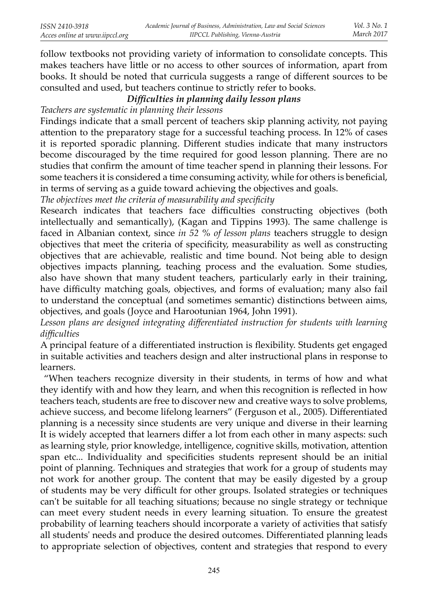follow textbooks not providing variety of information to consolidate concepts. This makes teachers have little or no access to other sources of information, apart from books. It should be noted that curricula suggests a range of different sources to be consulted and used, but teachers continue to strictly refer to books.

# *Diffi culties in planning daily lesson plans*

*Teachers are systematic in planning their lessons*

 Findings indicate that a small percent of teachers skip planning activity, not paying attention to the preparatory stage for a successful teaching process. In 12% of cases it is reported sporadic planning. Different studies indicate that many instructors become discouraged by the time required for good lesson planning. There are no studies that confirm the amount of time teacher spend in planning their lessons. For some teachers it is considered a time consuming activity, while for others is beneficial, in terms of serving as a guide toward achieving the objectives and goals.

The objectives meet the criteria of measurability and specificity

Research indicates that teachers face difficulties constructing objectives (both intellectually and semantically), (Kagan and Tippins 1993). The same challenge is faced in Albanian context, since *in 52 % of lesson plans* teachers struggle to design objectives that meet the criteria of specificity, measurability as well as constructing objectives that are achievable, realistic and time bound. Not being able to design objectives impacts planning, teaching process and the evaluation. Some studies, also have shown that many student teachers, particularly early in their training, have difficulty matching goals, objectives, and forms of evaluation; many also fail to understand the conceptual (and sometimes semantic) distinctions between aims, objectives, and goals (Joyce and Harootunian 1964, John 1991).

Lesson plans are designed integrating differentiated instruction for students with learning *diffi culties*

A principal feature of a differentiated instruction is flexibility. Students get engaged in suitable activities and teachers design and alter instructional plans in response to learners.

 "When teachers recognize diversity in their students, in terms of how and what they identify with and how they learn, and when this recognition is reflected in how teachers teach, students are free to discover new and creative ways to solve problems, achieve success, and become lifelong learners" (Ferguson et al., 2005). Differentiated planning is a necessity since students are very unique and diverse in their learning It is widely accepted that learners differ a lot from each other in many aspects: such as learning style, prior knowledge, intelligence, cognitive skills, motivation, attention span etc... Individuality and specificities students represent should be an initial point of planning. Techniques and strategies that work for a group of students may not work for another group. The content that may be easily digested by a group of students may be very difficult for other groups. Isolated strategies or techniques can't be suitable for all teaching situations; because no single strategy or technique can meet every student needs in every learning situation. To ensure the greatest probability of learning teachers should incorporate a variety of activities that satisfy all students' needs and produce the desired outcomes. Differentiated planning leads to appropriate selection of objectives, content and strategies that respond to every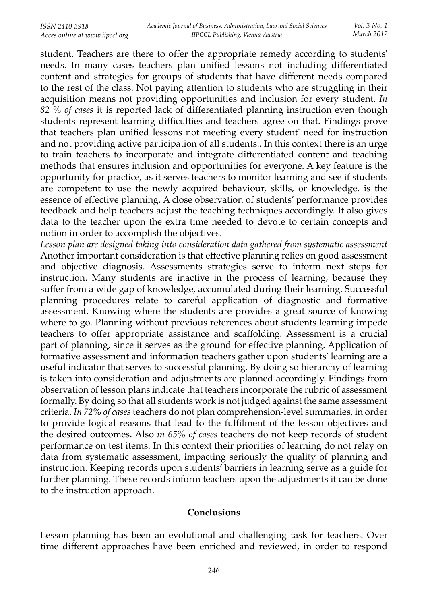student. Teachers are there to offer the appropriate remedy according to students' needs. In many cases teachers plan unified lessons not including differentiated content and strategies for groups of students that have different needs compared to the rest of the class. Not paying attention to students who are struggling in their acquisition means not providing opportunities and inclusion for every student. *In*  82 % of cases it is reported lack of differentiated planning instruction even though students represent learning difficulties and teachers agree on that. Findings prove that teachers plan unified lessons not meeting every student' need for instruction and not providing active participation of all students.. In this context there is an urge to train teachers to incorporate and integrate differentiated content and teaching methods that ensures inclusion and opportunities for everyone. A key feature is the opportunity for practice, as it serves teachers to monitor learning and see if students are competent to use the newly acquired behaviour, skills, or knowledge. is the essence of effective planning. A close observation of students' performance provides feedback and help teachers adjust the teaching techniques accordingly. It also gives data to the teacher upon the extra time needed to devote to certain concepts and notion in order to accomplish the objectives.

*Lesson plan are designed taking into consideration data gathered from systematic assessment*Another important consideration is that effective planning relies on good assessment and objective diagnosis. Assessments strategies serve to inform next steps for instruction. Many students are inactive in the process of learning, because they suffer from a wide gap of knowledge, accumulated during their learning. Successful planning procedures relate to careful application of diagnostic and formative assessment. Knowing where the students are provides a great source of knowing where to go. Planning without previous references about students learning impede teachers to offer appropriate assistance and scaffolding. Assessment is a crucial part of planning, since it serves as the ground for effective planning. Application of formative assessment and information teachers gather upon students' learning are a useful indicator that serves to successful planning. By doing so hierarchy of learning is taken into consideration and adjustments are planned accordingly. Findings from observation of lesson plans indicate that teachers incorporate the rubric of assessment formally. By doing so that all students work is not judged against the same assessment criteria. *In 72% of cases* teachers do not plan comprehension-level summaries, in order to provide logical reasons that lead to the fulfilment of the lesson objectives and the desired outcomes. Also *in 65% of cases* teachers do not keep records of student performance on test items. In this context their priorities of learning do not relay on data from systematic assessment, impacting seriously the quality of planning and instruction. Keeping records upon students' barriers in learning serve as a guide for further planning. These records inform teachers upon the adjustments it can be done to the instruction approach.

## **Conclusions**

Lesson planning has been an evolutional and challenging task for teachers. Over time different approaches have been enriched and reviewed, in order to respond